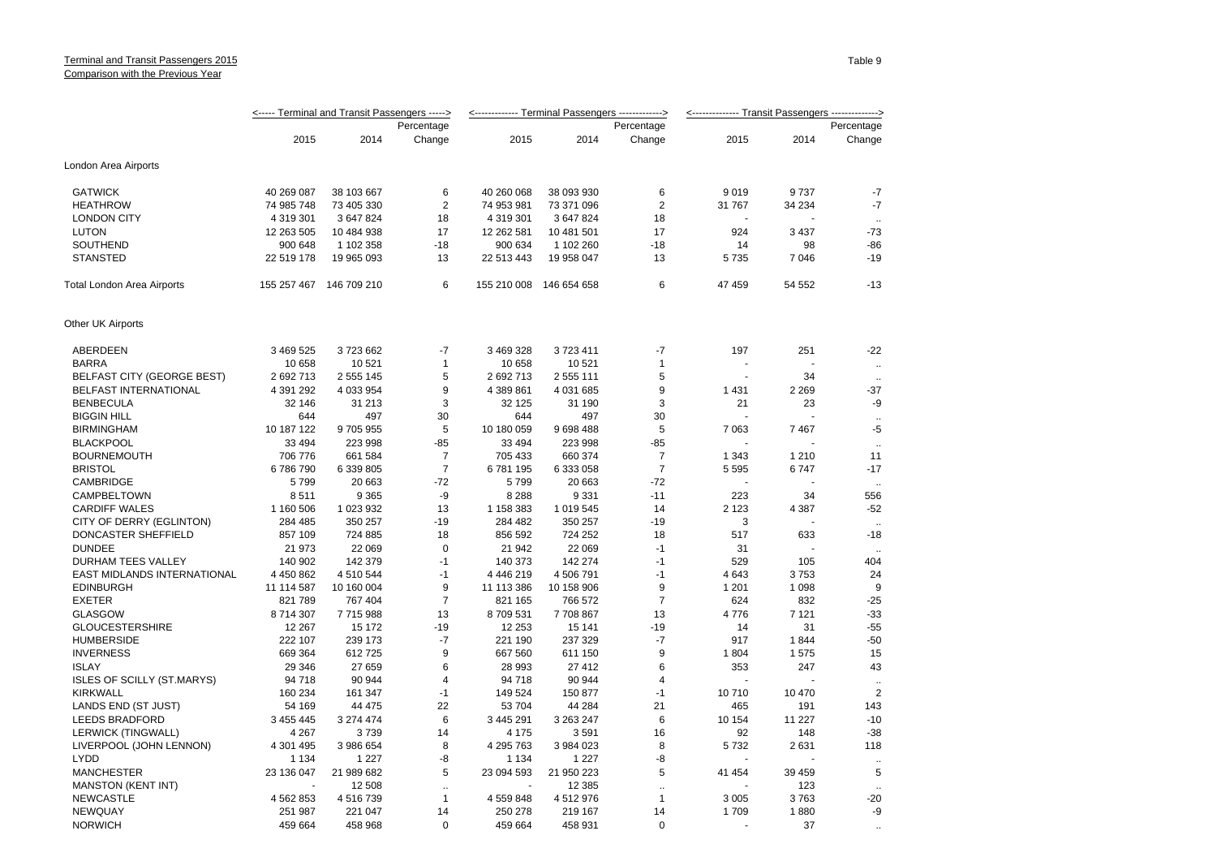## Terminal and Transit Passengers 2015 Comparison with the Previous Year

|                                               | <----- Terminal and Transit Passengers -----> |                         |                           |                      | <------------- Terminal Passengers -------------> |                   | <-------------- Transit Passengers --------------> |              |                      |  |
|-----------------------------------------------|-----------------------------------------------|-------------------------|---------------------------|----------------------|---------------------------------------------------|-------------------|----------------------------------------------------|--------------|----------------------|--|
|                                               | Percentage                                    |                         |                           |                      |                                                   | Percentage        |                                                    |              | Percentage           |  |
|                                               | 2015                                          | 2014                    | Change                    | 2015                 | 2014                                              | Change            | 2015                                               | 2014         | Change               |  |
| London Area Airports                          |                                               |                         |                           |                      |                                                   |                   |                                                    |              |                      |  |
| <b>GATWICK</b>                                | 40 269 087                                    | 38 103 667              | 6                         | 40 260 068           | 38 093 930                                        | 6                 | 9019                                               | 9737         | $-7$                 |  |
| <b>HEATHROW</b>                               | 74 985 748                                    | 73 405 330              | $\overline{2}$            | 74 953 981           | 73 371 096                                        | $\overline{2}$    | 31 767                                             | 34 234       | $-7$                 |  |
| <b>LONDON CITY</b>                            | 4 319 301                                     | 3 647 824               | 18                        | 4 319 301            | 3 647 824                                         | 18                |                                                    |              |                      |  |
| <b>LUTON</b>                                  | 12 263 505                                    | 10 484 938              | 17                        | 12 262 581           | 10 481 501                                        | 17                | 924                                                | 3 4 3 7      | -73                  |  |
| SOUTHEND                                      | 900 648                                       | 1 102 358               | $-18$                     | 900 634              | 1 102 260                                         | $-18$             | 14                                                 | 98           | $-86$                |  |
| <b>STANSTED</b>                               | 22 519 178                                    | 19 965 093              | 13                        | 22 513 443           | 19 958 047                                        | 13                | 5735                                               | 7 0 4 6      | $-19$                |  |
| Total London Area Airports                    |                                               | 155 257 467 146 709 210 | 6                         | 155 210 008          | 146 654 658                                       | 6                 | 47 459                                             | 54 552       | $-13$                |  |
| Other UK Airports                             |                                               |                         |                           |                      |                                                   |                   |                                                    |              |                      |  |
| ABERDEEN                                      | 3 469 525                                     | 3723662                 | $-7$                      | 3 469 328            | 3723411                                           | $-7$              | 197                                                | 251          | $-22$                |  |
| <b>BARRA</b>                                  | 10 658                                        | 10 521                  | $\mathbf{1}$              | 10 658               | 10 521                                            | $\mathbf{1}$      |                                                    |              | $\ddot{\phantom{a}}$ |  |
| <b>BELFAST CITY (GEORGE BEST)</b>             | 2 692 713                                     | 2 555 145               | 5                         | 2 692 713            | 2 555 111                                         | 5                 |                                                    | 34           |                      |  |
| BELFAST INTERNATIONAL                         | 4 391 292                                     | 4 033 954               | 9                         | 4 389 861            | 4 031 685                                         | 9                 | 1 4 3 1                                            | 2 2 6 9      | $-37$                |  |
| <b>BENBECULA</b>                              | 32 146                                        | 31 213                  | 3                         | 32 125               | 31 190                                            | 3                 | 21                                                 | 23           | -9                   |  |
| <b>BIGGIN HILL</b>                            | 644                                           | 497                     | 30                        | 644                  | 497                                               | 30                |                                                    |              |                      |  |
| <b>BIRMINGHAM</b>                             | 10 187 122                                    | 9705955                 | 5                         | 10 180 059           | 9698488                                           | 5                 | 7 0 6 3                                            | 7467         | -5                   |  |
| <b>BLACKPOOL</b>                              | 33 4 94                                       | 223 998                 | $-85$                     | 33 4 94              | 223 998                                           | $-85$             |                                                    |              | $\ddotsc$            |  |
| <b>BOURNEMOUTH</b>                            | 706 776                                       | 661 584                 | $\overline{7}$            | 705 433              | 660 374                                           | $\overline{7}$    | 1 3 4 3                                            | 1 2 1 0      | 11                   |  |
| <b>BRISTOL</b>                                | 6786790                                       | 6 339 805               | $\overline{7}$            | 6781195              | 6 333 058                                         | $\overline{7}$    | 5 5 9 5                                            | 6747         | $-17$                |  |
| CAMBRIDGE                                     | 5799                                          | 20 663                  | $-72$                     | 5799                 | 20 663                                            | $-72$             |                                                    |              | $\ddotsc$            |  |
| CAMPBELTOWN                                   | 8511                                          | 9 3 6 5                 | -9                        | 8 2 8 8              | 9 3 3 1                                           | $-11$             | 223                                                | 34           | 556                  |  |
| <b>CARDIFF WALES</b>                          | 1 160 506                                     | 1 023 932               | 13                        | 1 158 383            | 1 019 545                                         | 14                | 2 1 2 3                                            | 4 3 8 7      | $-52$                |  |
| CITY OF DERRY (EGLINTON)                      | 284 485                                       | 350 257                 | $-19$                     | 284 482              | 350 257                                           | $-19$             | 3                                                  |              | $\ddotsc$            |  |
| DONCASTER SHEFFIELD                           | 857 109                                       | 724 885                 | 18                        | 856 592              | 724 252                                           | 18                | 517                                                | 633          | $-18$                |  |
| <b>DUNDEE</b>                                 | 21 973                                        | 22 069                  | $\mathbf 0$               | 21 942               | 22 069                                            | $-1$              | 31                                                 |              |                      |  |
| DURHAM TEES VALLEY                            | 140 902                                       | 142 379                 | $-1$                      | 140 373              | 142 274                                           | $-1$              | 529                                                | 105          | 404                  |  |
| EAST MIDLANDS INTERNATIONAL                   | 4 450 862                                     | 4 510 544               | $-1$                      | 4 4 4 6 2 1 9        | 4 506 791                                         | $-1$              | 4643                                               | 3753         | 24                   |  |
| <b>EDINBURGH</b>                              | 11 114 587                                    | 10 160 004              | 9                         | 11 113 386           | 10 158 906                                        | 9                 | 1 2 0 1                                            | 1 0 9 8      | 9                    |  |
| <b>EXETER</b>                                 | 821 789                                       | 767 404                 | $\overline{7}$            | 821 165              | 766 572                                           | $\overline{7}$    | 624                                                | 832          | $-25$                |  |
| <b>GLASGOW</b>                                | 8714307                                       | 7715988                 | 13                        | 8709531              | 7708867                                           | 13                | 4776                                               | 7 1 2 1      | $-33$                |  |
| <b>GLOUCESTERSHIRE</b>                        | 12 267                                        | 15 172                  | $-19$                     | 12 253               | 15 141                                            | $-19$             | 14                                                 | 31           | $-55$                |  |
| <b>HUMBERSIDE</b>                             | 222 107                                       | 239 173                 | $-7$                      | 221 190              | 237 329                                           | $-7$              | 917                                                | 1844         | $-50$                |  |
| <b>INVERNESS</b>                              | 669 364                                       | 612725                  | 9                         | 667 560              | 611 150                                           | 9                 | 1804                                               | 1575         | 15                   |  |
| <b>ISLAY</b>                                  | 29 346                                        | 27 659                  | 6                         | 28 993               | 27 412                                            | 6                 | 353                                                | 247          | 43                   |  |
| <b>ISLES OF SCILLY (ST.MARYS)</b>             | 94 718                                        | 90 944                  | 4                         | 94 718               | 90 944                                            | 4                 |                                                    |              |                      |  |
| <b>KIRKWALL</b>                               | 160 234                                       | 161 347                 | $-1$                      | 149 524              | 150 877                                           | $-1$              | 10710                                              | 10 470       | $\overline{2}$       |  |
| LANDS END (ST JUST)                           | 54 169                                        | 44 475                  | 22                        | 53 704               | 44 284                                            | 21                | 465                                                | 191          | 143                  |  |
| <b>LEEDS BRADFORD</b>                         | 3 455 445                                     | 3 274 474               | 6                         | 3 445 291            | 3 263 247                                         | 6                 | 10 154                                             | 11 227       | $-10$                |  |
| <b>LERWICK (TINGWALL)</b>                     | 4 2 6 7                                       | 3739                    | 14                        | 4 1 7 5              | 3591                                              | 16                | 92                                                 | 148          | $-38$                |  |
| LIVERPOOL (JOHN LENNON)                       | 4 301 495                                     | 3 986 654               | 8                         | 4 295 763            | 3 984 023                                         | 8                 | 5732                                               | 2 631        | 118                  |  |
| <b>LYDD</b>                                   | 1 1 3 4                                       | 1 2 2 7                 |                           | 1 1 3 4              | 1 2 2 7                                           | -8                |                                                    |              |                      |  |
| <b>MANCHESTER</b>                             | 23 136 047                                    | 21 989 682              | -8<br>5                   | 23 094 593           | 21 950 223                                        | 5                 | 41 454                                             | 39 459       | $\ddotsc$<br>5       |  |
|                                               |                                               | 12 508                  |                           |                      | 12 3 8 5                                          |                   |                                                    | 123          |                      |  |
| <b>MANSTON (KENT INT)</b><br><b>NEWCASTLE</b> |                                               | 4 516 739               | $\ddotsc$<br>$\mathbf{1}$ |                      |                                                   | ä.                |                                                    |              | $\sim$               |  |
| <b>NEWQUAY</b>                                | 4 562 853<br>251 987                          | 221 047                 |                           | 4 559 848<br>250 278 | 4512976<br>219 167                                | 1                 | 3 0 0 5<br>1709                                    | 3763<br>1880 | $-20$<br>-9          |  |
| <b>NORWICH</b>                                | 459 664                                       | 458 968                 | 14<br>$\mathbf 0$         |                      |                                                   | 14<br>$\mathbf 0$ |                                                    | 37           |                      |  |
|                                               |                                               |                         |                           | 459 664              | 458 931                                           |                   |                                                    |              |                      |  |